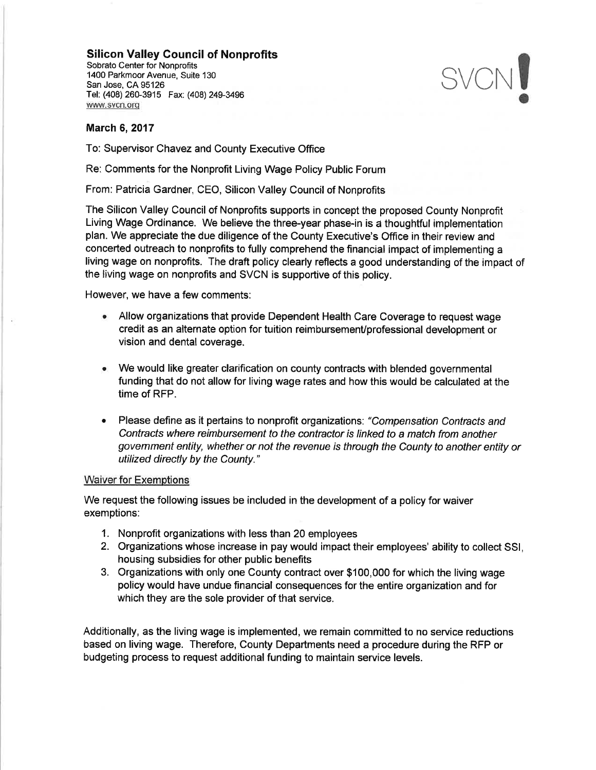## Silicon Valley Gouncil of Nonprofits

Sobrato Center for Nonprofits 1400 Parkmoor Avenue, Suite 130 San Jose, CA 95126 Tel: (408) 260-3915 Fax: (408) 249-3496 www.svcn.org



## March 6,2017

To: Supervisor Chavez and County Executive Office

Re: Comments for the Nonprofit Living Wage Policy Public Forum

From: Patricia Gardner, CEO, Silicon Valley Council of Nonprofits

The Silicon Valley Council of Nonprofits supports in concept the proposed County Nonprofit Living Wage Ordinance. We believe the three-year phase-in is a thoughtful implementation plan. We appreciate the due diligence of the County Executive's Office in their review and concerted outreach to nonprofits to fully comprehend the financial impact of implementing a living wage on nonprofits. The draft policy clearly reflects a good understanding of the impact of the living wage on nonprofits and SVCN is supportive of this policy.

However, we have a few comments:

- . Allow organizations that provide Dependent Health Care Coverage to request wage credit as an alternate option for tuition reimbursemenVprofessional development or vision and dental coverage.
- We would like greater clarification on county contracts with blended governmental funding that do not allow for living wage rates and how this would be calculated at the time of RFP. a
- Please define as it pertains to nonprofit organizations: "Compensation Contracts and Contracts where reimbursement to the contractor is linked to a match from another govemment entity, whether or not the revenue is through the County to another entity or utilized directly by the County."

## Waiver for Exemptions

We request the following issues be included in the development of a policy for waiver exemptions:

- 1. Nonprofit organizations with less than 20 employees
- 2. Organizations whose increase in pay would impact their employees' ability to collect SSl, housing subsidies for other public benefits
- 3. Organizations with only one County contract over \$100,000 for which the living wage policy would have undue financial consequences for the entire organization and for which they are the sole provider of that service.

Additionally, as the living wage is implemented, we remain committed to no service reductions based on living wage. Therefore, County Departments need a procedure during the RFP or budgeting process to request additional funding to maintain service levels.